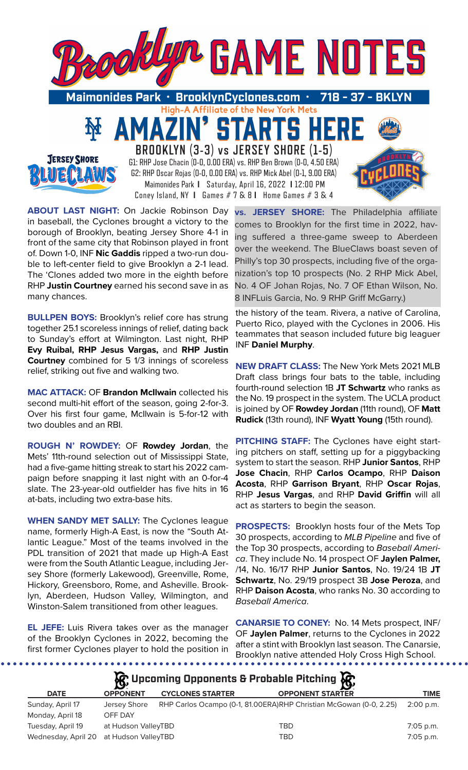



**BROOKLYN (3-3) vs JERSEY SHORE (1-5)** G1: RHP Jose Chacin (0-0, 0.00 ERA) vs. RHP Ben Brown (0-0, 4.50 ERA) G2: RHP Oscar Rojas (0-0, 0.00 ERA) vs. RHP Mick Abel (0-1, 9.00 ERA) Maimonides Park **I** Saturday, April 16, 2022 **I** 12:00 PM Coney Island, NY **I** Games # 7 & 8 **I** Home Games # 3 & 4

**ABOUT LAST NIGHT:** On Jackie Robinson Day in baseball, the Cyclones brought a victory to the borough of Brooklyn, beating Jersey Shore 4-1 in front of the same city that Robinson played in front of. Down 1-0, INF **Nic Gaddis** ripped a two-run double to left-center field to give Brooklyn a 2-1 lead. The 'Clones added two more in the eighth before RHP **Justin Courtney** earned his second save in as many chances.

**BULLPEN BOYS: Brooklyn's relief core has strung** together 25.1 scoreless innings of relief, dating back to Sunday's effort at Wilmington. Last night, RHP **Evy Ruibal, RHP Jesus Vargas,** and **RHP Justin Courtney** combined for 5 1/3 innings of scoreless relief, striking out five and walking two.

**MAC ATTACK:** OF **Brandon McIlwain** collected his second multi-hit effort of the season, going 2-for-3. Over his first four game, McIlwain is 5-for-12 with two doubles and an RBI.

**ROUGH N' ROWDEY:** OF **Rowdey Jordan**, the Mets' 11th-round selection out of Mississippi State, had a five-game hitting streak to start his 2022 campaign before snapping it last night with an 0-for-4 slate. The 23-year-old outfielder has five hits in 16 at-bats, including two extra-base hits.

**WHEN SANDY MET SALLY:** The Cyclones league name, formerly High-A East, is now the "South Atlantic League." Most of the teams involved in the PDL transition of 2021 that made up High-A East were from the South Atlantic League, including Jersey Shore (formerly Lakewood), Greenville, Rome, Hickory, Greensboro, Rome, and Asheville. Brooklyn, Aberdeen, Hudson Valley, Wilmington, and Winston-Salem transitioned from other leagues.

**EL JEFE:** Luis Rivera takes over as the manager of the Brooklyn Cyclones in 2022, becoming the first former Cyclones player to hold the position in

**vs. JERSEY SHORE:** The Philadelphia affiliate comes to Brooklyn for the first time in 2022, having suffered a three-game sweep to Aberdeen over the weekend. The BlueClaws boast seven of Philly's top 30 prospects, including five of the organization's top 10 prospects (No. 2 RHP Mick Abel, No. 4 OF Johan Rojas, No. 7 OF Ethan Wilson, No. 8 INFLuis Garcia, No. 9 RHP Griff McGarry.)

the history of the team. Rivera, a native of Carolina, Puerto Rico, played with the Cyclones in 2006. His teammates that season included future big leaguer INF **Daniel Murphy**.

**NEW DRAFT CLASS:** The New York Mets 2021 MLB Draft class brings four bats to the table, including fourth-round selection 1B **JT Schwartz** who ranks as the No. 19 prospect in the system. The UCLA product is joined by OF **Rowdey Jordan** (11th round), OF **Matt Rudick** (13th round), INF **Wyatt Young** (15th round).

**PITCHING STAFF:** The Cyclones have eight starting pitchers on staff, setting up for a piggybacking system to start the season. RHP **Junior Santos**, RHP **Jose Chacin**, RHP **Carlos Ocampo**, RHP **Daison Acosta**, RHP **Garrison Bryant**, RHP **Oscar Rojas**, RHP **Jesus Vargas**, and RHP **David Griffin** will all act as starters to begin the season.

**PROSPECTS:** Brooklyn hosts four of the Mets Top 30 prospects, according to *MLB Pipeline* and five of the Top 30 prospects, according to *Baseball America*. They include No. 14 prospect OF **Jaylen Palmer,** /14, No. 16/17 RHP **Junior Santos**, No. 19/24 1B **JT Schwartz**, No. 29/19 prospect 3B **Jose Peroza**, and RHP **Daison Acosta**, who ranks No. 30 according to *Baseball America*.

**CANARSIE TO CONEY:** No. 14 Mets prospect, INF/ OF **Jaylen Palmer**, returns to the Cyclones in 2022 after a stint with Brooklyn last season. The Canarsie, Brooklyn native attended Holy Cross High School. 

| $\mathcal{R}$ Upcoming Opponents & Probable Pitching $\mathcal{R}$ |                 |                         |                                                                    |           |  |  |  |  |
|--------------------------------------------------------------------|-----------------|-------------------------|--------------------------------------------------------------------|-----------|--|--|--|--|
| <b>DATE</b>                                                        | <b>OPPONENT</b> | <b>CYCLONES STARTER</b> | <b>OPPONENT STARTER</b>                                            | TIME      |  |  |  |  |
| Sunday, April 17                                                   | Jersey Shore    |                         | RHP Carlos Ocampo (0-1, 81.00ERA)RHP Christian McGowan (0-0, 2.25) | 2:00 p.m. |  |  |  |  |
| Monday, April 18                                                   | OFF DAY         |                         |                                                                    |           |  |  |  |  |
|                                                                    |                 |                         |                                                                    |           |  |  |  |  |

| Tuesday, April 19 | at Hudson ValleyTBD                     | TBD | 7:05 p.m. |
|-------------------|-----------------------------------------|-----|-----------|
|                   | Wednesday, April 20 at Hudson ValleyTBD | TBD | 7:05 p.m. |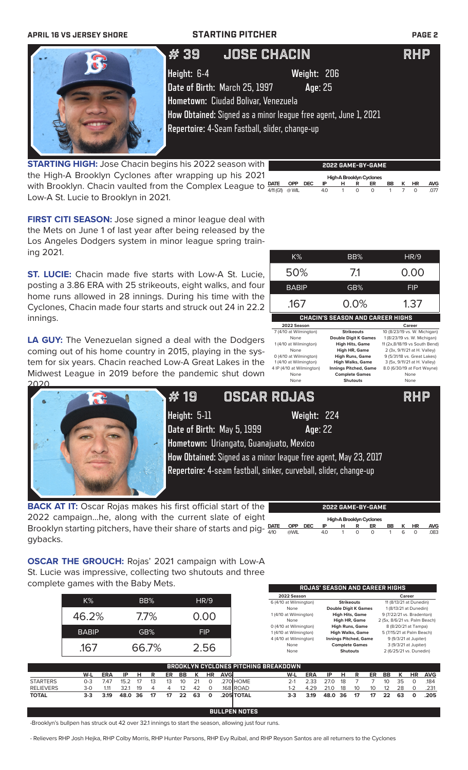| <b>APRIL 16 VS JERSEY SHORE</b> |                               | <b>STARTING PITCHER</b>                                         | <b>PAGE 2</b> |
|---------------------------------|-------------------------------|-----------------------------------------------------------------|---------------|
|                                 | # 39                          | <b>JOSE CHACIN</b>                                              | RHP           |
|                                 | Height: 6-4                   | Weight: 206                                                     |               |
|                                 | Date of Birth: March 25, 1997 | Age: 25                                                         |               |
|                                 |                               | Hometown: Ciudad Bolivar, Venezuela                             |               |
|                                 |                               | How Obtained: Signed as a minor league free agent, June 1, 2021 |               |
|                                 |                               | Repertoire: 4-Seam Fastball, slider, change-up                  |               |

**STARTING HIGH:** Jose Chacin begins his 2022 season with the High-A Brooklyn Cyclones after wrapping up his 2021 with Brooklyn. Chacin vaulted from the Complex League to Low-A St. Lucie to Brooklyn in 2021.

| 2022 GAME-BY-GAME        |      |      |     |   |        |          |    |   |    |            |
|--------------------------|------|------|-----|---|--------|----------|----|---|----|------------|
| High-A Brooklyn Cyclones |      |      |     |   |        |          |    |   |    |            |
| <b>DATE</b>              | OPP  | DEC. | IP  | н | R      | ER       | BB | ĸ | HR | <b>AVG</b> |
| $4/11$ (G1)              | @WIL |      | 4.0 |   | $\cap$ | $\Omega$ |    |   |    | 077        |

**FIRST CITI SEASON:** Jose signed a minor league deal with the Mets on June 1 of last year after being released by the Los Angeles Dodgers system in minor league spring training 2021.

**ST. LUCIE:** Chacin made five starts with Low-A St. Lucie, posting a 3.86 ERA with 25 strikeouts, eight walks, and four home runs allowed in 28 innings. During his time with the Cyclones, Chacin made four starts and struck out 24 in 22.2 innings.

**LA GUY:** The Venezuelan signed a deal with the Dodgers coming out of his home country in 2015, playing in the system for six years. Chacin reached Low-A Great Lakes in the Midwest League in 2019 before the pandemic shut down 2020.



K% BB% HR/9

50% 7.1 0.00



**Height:** 5-11 **Weight:** 224 **Date of Birth:** May 5, 1999 **Age**: 22 # 19 OSCAR ROJAS RHP

**Hometown:** Uriangato, Guanajuato, Mexico **How Obtained:** Signed as a minor league free agent, May 23, 2017 **Repertoire:** 4-seam fastball, sinker, curveball, slider, change-up

**BACK AT IT:** Oscar Rojas makes his first official start of the 2022 campaign...he, along with the current slate of eight Brooklyn starting pitchers, have their share of starts and pig-  $\frac{\text{part}}{440}$ gybacks.

|             |            |            |    |   |   | 2022 GAME-BY-GAME        |    |     |    |      |
|-------------|------------|------------|----|---|---|--------------------------|----|-----|----|------|
|             |            |            |    |   |   | High-A Brooklyn Cyclones |    |     |    |      |
| <b>DATE</b> | <b>OPP</b> | <b>DEC</b> | ΙP | н | R | ER                       | BB | к   | HR | AVG  |
| 4/10        | @WIL       |            | 40 |   |   |                          |    | ี่ค |    | .083 |

**ROJAS' SEASON AND CAREER HIGHS**

**OSCAR THE GROUCH:** Rojas' 2021 campaign with Low-A St. Lucie was impressive, collecting two shutouts and three complete games with the Baby Mets.

|           |              |            |      |    |         |    |    |    |            |            |                                      | 2022 Season            |            |      |                   |                              |    |                               | Career |                           |            |
|-----------|--------------|------------|------|----|---------|----|----|----|------------|------------|--------------------------------------|------------------------|------------|------|-------------------|------------------------------|----|-------------------------------|--------|---------------------------|------------|
|           | $K\%$        |            |      |    | BB%     |    |    |    | HR/9       |            |                                      | 6 (4/10 at Wilmington) |            |      | <b>Strikeouts</b> |                              |    |                               |        | 11 (8/13/21 at Dunedin)   |            |
|           |              |            |      |    |         |    |    |    |            |            |                                      | None                   |            |      |                   | <b>Double Digit K Games</b>  |    |                               |        | 1 (8/13/21 at Dunedin)    |            |
|           | 46.2%        |            |      |    | $7.7\%$ |    |    |    | 0.00       |            |                                      | 1 (4/10 at Wilmington) |            |      |                   | <b>High Hits, Game</b>       |    |                               |        | 9 (7/22/21 vs. Bradenton) |            |
|           |              |            |      |    |         |    |    |    |            |            |                                      | None                   |            |      |                   | High HR, Game                |    | 2 (5x, 8/6/21 vs. Palm Beach) |        |                           |            |
|           |              |            |      |    |         |    |    |    |            |            |                                      | 0 (4/10 at Wilmington) |            |      |                   | <b>High Runs, Game</b>       |    |                               |        | 8 (8/20/21 at Tampa)      |            |
|           | <b>BABIP</b> |            |      |    | GB%     |    |    |    | <b>FIP</b> |            |                                      | 1 (4/10 at Wilmington) |            |      |                   | <b>High Walks, Game</b>      |    |                               |        | 5 (7/15/21 at Palm Beach) |            |
|           |              |            |      |    |         |    |    |    |            |            |                                      | 4 (4/10 at Wilmington) |            |      |                   | <b>Innings Pitched, Game</b> |    |                               |        | 9 (9/3/21 at Jupiter)     |            |
|           | .167         |            |      |    | 66.7%   |    |    |    | 2.56       |            |                                      | None                   |            |      |                   | <b>Complete Games</b>        |    |                               |        | 3 (9/3/21 at Jupiter)     |            |
|           |              |            |      |    |         |    |    |    |            |            |                                      | None                   |            |      | <b>Shutouts</b>   |                              |    |                               |        | 2 (6/25/21 vs. Dunedin)   |            |
|           |              |            |      |    |         |    |    |    |            |            |                                      |                        |            |      |                   |                              |    |                               |        |                           |            |
|           |              |            |      |    |         |    |    |    |            |            | BROOKLYN CYCLONES PITCHING BREAKDOWN |                        |            |      |                   |                              |    |                               |        |                           |            |
|           | W-L          | <b>ERA</b> | IP   | н  | R       | ER | BB | к  | <b>HR</b>  | <b>AVG</b> |                                      | W-L                    | <b>ERA</b> | IP   | н                 | R                            | ER | BB                            | ĸ      | <b>HR</b>                 | <b>AVG</b> |
| STARTERS  | $0 - 3$      | 7.47       | 15.2 | 17 | 13      | 13 | 10 | 21 | $\Omega$   |            | 270 HOME                             | $2 - 1$                | 2.33       | 27.0 | 18                |                              |    | 10                            | 35     | $\Omega$                  | .184       |
| RELIEVERS | $3-0$        | 1.11       | 32.1 | 19 | 4       | 4  | 12 | 42 | 0          |            | $.168$ ROAD                          | $1 - 2$                | 4.29       | 21.0 | 18                | 10                           | 10 | 12                            | 28     | $\Omega$                  | .231       |
| TOTAL     | $3-3$        | 3.19       | 48.0 | 36 | 17      | 17 | 22 | 63 | 0          |            | .205 TOTAL                           | $3-3$                  | 3.19       | 48.0 | 36                | 17                           | 17 | 22                            | 63     | O                         | .205       |

### **BULLPEN NOTES**

-Brooklyn's bullpen has struck out 42 over 32.1 innings to start the season, allowing just four runs.

- Relievers RHP Josh Hejka, RHP Colby Morris, RHP Hunter Parsons, RHP Evy Ruibal, and RHP Reyson Santos are all returners to the Cyclones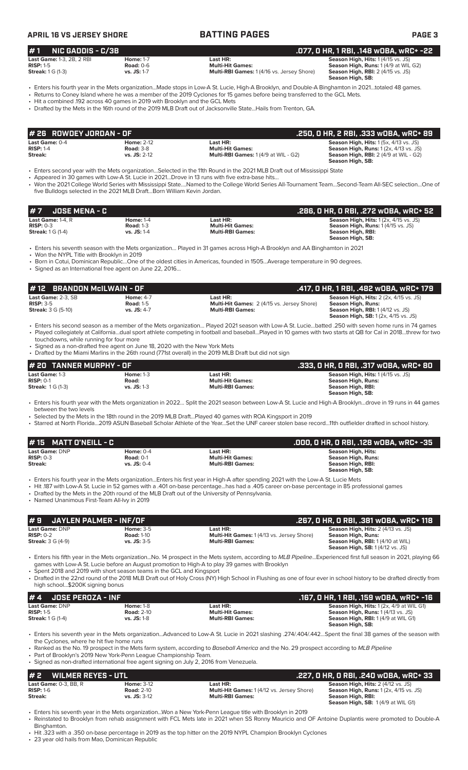**APRIL 16 VS JERSEY SHORE BATTING PAGES PAGE 3**

### **# 1 NIC GADDIS - C/3B .077, 0 HR, 1 RBI, .148 wOBA, wRC+ -22 Last Game:** 1-3, 2B, 2 RBI **Home:** 1-7 **Last HR: Season High, Hits:** 1 (4/15 vs. JS)<br> **RISP:** 1-5 **RISP:** 1-5 **Road:** 0-6 **Multi-Hit Games: Season High, Rius:** 1 (4/9 at WII) **RISP:** 1-5 **Road:** 0-6 **Road:** 0-6 **Multi-Hit Games: Reason High, Runs:** 1 (4/9 at WIL G2)<br>**Streak:** 1 G (1-3) **Reason High, RBI:** 2 (4/15 vs. JS: 1-7 **Multi-RBI Games:** 1 (4/16 vs. Jersey Shore) **Season High, RBI:** 2 ( **Multi-RBI Games:** 1 (4/16 vs. Jersey Shore) **Season High, SB:**

• Enters his fourth year in the Mets organization...Made stops in Low-A St. Lucie, High-A Brooklyn, and Double-A Binghamton in 2021…totaled 48 games.

• Returns to Coney Island where he was a member of the 2019 Cyclones for 15 games before being transferred to the GCL Mets.

• Hit a combined .192 across 40 games in 2019 with Brooklyn and the GCL Mets

• Drafted by the Mets in the 16th round of the 2019 MLB Draft out of Jacksonville State...Hails from Trenton, GA.

| $#$ 26 ROWDEY JORDAN - OF |                   |                                              | .250. O HR. 2 RBI. .333 wOBA. wRC+ 89                  |
|---------------------------|-------------------|----------------------------------------------|--------------------------------------------------------|
| Last Game: 0-4            | <b>Home: 2-12</b> | Last HR:                                     | <b>Season High, Hits: 1 (5x, 4/13 vs. JS)</b>          |
| $RISP: 1-4$               | <b>Road: 3-8</b>  | Multi-Hit Games:                             | <b>Season High, Runs:</b> $1(2x, 4/13 \text{ vs. JS})$ |
| Streak:                   | $vs.$ JS: 2-12    | <b>Multi-RBI Games:</b> $1(4/9$ at WIL - G2) | <b>Season High, RBI:</b> 2 (4/9 at WIL - G2)           |
|                           |                   |                                              | Season High, SB:                                       |

• Enters second year with the Mets organization…Selected in the 11th Round in the 2021 MLB Draft out of Mississippi State

Appeared in 30 games with Low-A St. Lucie in 2021...Drove in 13 runs with five extra-base hits.

• Won the 2021 College World Series with Mississippi State….Named to the College World Series All-Tournament Team…Second-Team All-SEC selection…One of five Bulldogs selected in the 2021 MLB Draft...Born William Kevin Jordan.

| #7<br>JOSE MENA - C                   |                  |                         | .286. O HR. O RBI. .272 wOBA. wRC+ 52                  |
|---------------------------------------|------------------|-------------------------|--------------------------------------------------------|
| <b>Last Game: 1-4. <math>R</math></b> | <b>Home: 1-4</b> | Last HR:                | <b>Season High, Hits:</b> $1(2x, 4/15 \text{ vs. JS})$ |
| $RISP: 0-3$                           | <b>Road: 1-3</b> | <b>Multi-Hit Games:</b> | <b>Season High, Runs: 1 (4/15 vs. JS)</b>              |
| <b>Streak:</b> 1 G (1-4)              | $vs.$ JS: 1-4    | <b>Multi-RBI Games:</b> | Season High, RBI:                                      |
|                                       |                  |                         | Season High, SB:                                       |

• Enters his seventh season with the Mets organization… Played in 31 games across High-A Brooklyn and AA Binghamton in 2021

• Won the NYPL Title with Brooklyn in 2019

• Born in Cotui, Dominican Republic…One of the oldest cities in Americas, founded in 1505…Average temperature in 90 degrees.

• Signed as an International free agent on June 22, 2016…

| $#12$ BRANDON McILWAIN - OF                                    |                                                       |                                                                                          | .417, 0 HR, 1 RBI, .482 w0BA, wRC+ 179                                                                                                                                |
|----------------------------------------------------------------|-------------------------------------------------------|------------------------------------------------------------------------------------------|-----------------------------------------------------------------------------------------------------------------------------------------------------------------------|
| Last Game: 2-3. SB<br>$RISP: 3-5$<br><b>Streak:</b> 3 G (5-10) | <b>Home: 4-7</b><br><b>Road: 1-5</b><br>$vs.$ JS: 4-7 | Last HR:<br><b>Multi-Hit Games: 2 (4/15 vs. Jersey Shore)</b><br><b>Multi-RBI Games:</b> | <b>Season High, Hits:</b> $2$ ( $2x$ , $4/15$ vs. JS)<br>Season High, Runs:<br><b>Season High, RBI:</b> 1 (4/12 vs. JS)<br><b>Season High, SB:</b> 1(2x, 4/15 vs. JS) |

- Enters his second season as a member of the Mets organization… Played 2021 season with Low-A St. Lucie…batted .250 with seven home runs in 74 games • Played collegiately at California…dual sport athlete competing in football and baseball…Played in 10 games with two starts at QB for Cal in 2018…threw for two touchdowns, while running for four more
- Signed as a non-drafted free agent on June 18, 2020 with the New York Mets
- Drafted by the Miami Marlins in the 26th round (771st overall) in the 2019 MLB Draft but did not sign

| # 20 TANNER MURPHY - OF |                  |                         | . .333, O HR, O RBI, .317 wOBA, wRC+ 80 . |
|-------------------------|------------------|-------------------------|-------------------------------------------|
| Last Game: 1-3          | <b>Home: 1-3</b> | Last HR:                | <b>Season High, Hits: 1 (4/15 vs. JS)</b> |
| $RISP: 0-1$             | Road:            | <b>Multi-Hit Games:</b> | Season High, Runs:                        |
| <b>Streak: 1G (1-3)</b> | $vs.$ JS: 1-3    | <b>Multi-RBI Games:</b> | Season High, RBI:                         |
|                         |                  |                         | Season High, SB:                          |

• Enters his fourth year with the Mets organization in 2022… Split the 2021 season between Low-A St. Lucie and High-A Brooklyn…drove in 19 runs in 44 games between the two levels

• Selected by the Mets in the 18th round in the 2019 MLB Draft…Played 40 games with ROA Kingsport in 2019

• Starred at North Florida…2019 ASUN Baseball Scholar Athlete of the Year…Set the UNF career stolen base record…11th outfielder drafted in school history.

| # 15 MATT O'NEILL - $C$ |               |                         | . .000, 0 HR, 0 RBI, .128 w0BA, wRC+ -35 |
|-------------------------|---------------|-------------------------|------------------------------------------|
| <b>Last Game: DNP</b>   | Home: $0-4$   | Last HR:                | Season High, Hits:                       |
| $RISP: 0-3$             | Road: $0-1$   | <b>Multi-Hit Games:</b> | Season High, Runs:                       |
| Streak:                 | $vs.$ JS: 0-4 | <b>Multi-RBI Games:</b> | Season High, RBI:                        |
|                         |               |                         | Season High, SB:                         |

• Enters his fourth year in the Mets organization...Enters his first year in High-A after spending 2021 with the Low-A St. Lucie Mets

• Hit .187 with Low-A St. Lucie in 52 games with a .401 on-base percentage...has had a .405 career on-base percentage in 85 professional games

• Drafted by the Mets in the 20th round of the MLB Draft out of the University of Pennsylvania.

• Named Unanimous First-Team All-Ivy in 2019

| $#S$ JAYLEN PALMER - INF/OF |                   |                                                   | .267, 0 HR, 0 RBI, .381 w0BA, wRC+ 118    |
|-----------------------------|-------------------|---------------------------------------------------|-------------------------------------------|
| Last Game: DNP              | Home: $3-5$       | Last HR:                                          | <b>Season High, Hits: 2 (4/13 vs. JS)</b> |
| $RISP: 0-2$                 | <b>Road: 1-10</b> | <b>Multi-Hit Games: 1 (4/13 vs. Jersey Shore)</b> | Season High, Runs:                        |
| <b>Streak: 3 G (4-9)</b>    | $vs.$ JS: $3-5$   | <b>Multi-RBI Games:</b>                           | Season High, RBI: 1 (4/10 at WIL)         |
|                             |                   |                                                   | <b>Season High, SB:</b> 1(4/12 vs. JS)    |

• Enters his fifth year in the Mets organization...No. 14 prospect in the Mets system, according to *MLB Pipeline*...Experienced first full season in 2021, playing 66 games with Low-A St. Lucie before an August promotion to High-A to play 39 games with Brooklyn

• Spent 2018 and 2019 with short season teams in the GCL and Kingsport

• Drafted in the 22nd round of the 2018 MLB Draft out of Holy Cross (NY) High School in Flushing as one of four ever in school history to be drafted directly from high school...\$200K signing bonus

| $# 4$ JOSE PEROZA - INF  |                   |                         | .167, 0 HR, 1 RBI, .159 w0BA, wRC+ -16          |
|--------------------------|-------------------|-------------------------|-------------------------------------------------|
| Last Game: DNP           | <b>Home: 1-8</b>  | Last HR:                | <b>Season High, Hits: 1 (2x, 4/9 at WIL G1)</b> |
| $RISP: 1-5$              | <b>Road: 2-10</b> | <b>Multi-Hit Games:</b> | <b>Season High, Runs: 1 (4/13 vs. JS)</b>       |
| <b>Streak:</b> 1 G (1-4) | $vs.$ JS: 1-8     | <b>Multi-RBI Games:</b> | <b>Season High, RBI: 1 (4/9 at WIL G1)</b>      |
|                          |                   |                         | Season High, SB:                                |

• Enters his seventh year in the Mets organization...Advanced to Low-A St. Lucie in 2021 slashing .274/.404/.442…Spent the final 38 games of the season with the Cyclones, where he hit five home runs

• Ranked as the No. 19 prospect in the Mets farm system, according to *Baseball America* and the No. 29 prospect according to *MLB Pipeline*

• Part of Brooklyn's 2019 New York-Penn League Championship Team. • Signed as non-drafted international free agent signing on July 2, 2016 from Venezuela.

| #2<br>WILMER REYES - UTL |                   |                                                   | .227, 0 HR, 0 RBI, .240 w0BA, wRC+ 33                  |
|--------------------------|-------------------|---------------------------------------------------|--------------------------------------------------------|
| Last Game: 0-3, BB, R    | <b>Home: 3-12</b> | Last HR:                                          | <b>Season High, Hits: 2 (4/12 vs. JS)</b>              |
| $RISP: 1-6$              | <b>Road: 2-10</b> | <b>Multi-Hit Games: 1 (4/12 vs. Jersey Shore)</b> | <b>Season High, Runs:</b> $1(2x, 4/15 \text{ vs. JS})$ |
| Streak:                  | $vs.$ JS: $3-12$  | <b>Multi-RBI Games:</b>                           | Season High, RBI:                                      |
|                          |                   |                                                   | <b>Season High, SB: 1(4/9 at WIL G1)</b>               |

• Enters his seventh year in the Mets organization...Won a New York-Penn League title with Brooklyn in 2019

• Reinstated to Brooklyn from rehab assignment with FCL Mets late in 2021 when SS Ronny Mauricio and OF Antoine Duplantis were promoted to Double-A Binghamton.

• Hit .323 with a .350 on-base percentage in 2019 as the top hitter on the 2019 NYPL Champion Brooklyn Cyclones

23 year old hails from Mao, Dominican Republic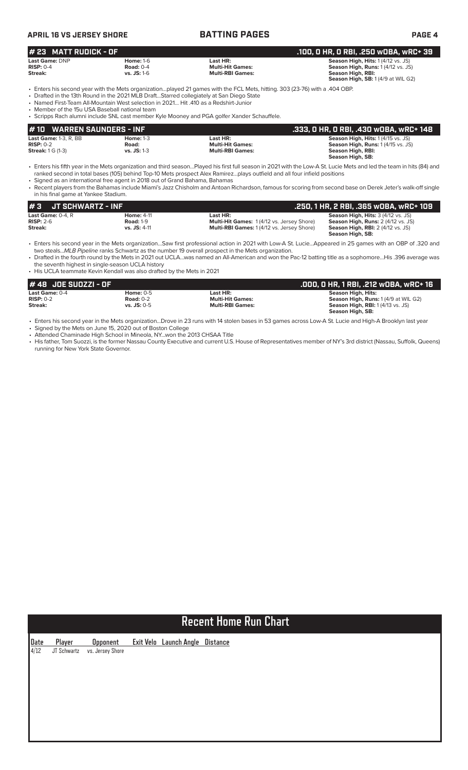| <b>APRIL 16 VS JERSEY SHORE</b>                |                                                                                                                                                                                 | <b>BATTING PAGES</b>                                                                                                                                                                                                       | <b>PAGE 4</b>                                                                                                                      |
|------------------------------------------------|---------------------------------------------------------------------------------------------------------------------------------------------------------------------------------|----------------------------------------------------------------------------------------------------------------------------------------------------------------------------------------------------------------------------|------------------------------------------------------------------------------------------------------------------------------------|
| $# 23$ MATT RUDICK - OF                        |                                                                                                                                                                                 |                                                                                                                                                                                                                            | .100, 0 HR, 0 RBI, .250 w0BA, wRC+ 39                                                                                              |
| Last Game: DNP<br>$RISP: 0-4$<br>Streak:       | <b>Home: 1-6</b><br>Road: $0-4$<br>$vs.$ JS: 1-6                                                                                                                                | Last HR:<br><b>Multi-Hit Games:</b><br><b>Multi-RBI Games:</b>                                                                                                                                                             | Season High, Hits: 1 (4/12 vs. JS)<br>Season High, Runs: 1 (4/12 vs. JS)<br>Season High, RBI:<br>Season High, SB: 1(4/9 at WIL G2) |
| • Member of the 15u USA Baseball national team | • Drafted in the 13th Round in the 2021 MLB DraftStarred collegiately at San Diego State<br>• Named First-Team All-Mountain West selection in 2021 Hit 410 as a Redshirt-Junior | . Enters his second year with the Mets organizationplayed 21 games with the FCL Mets, hitting. 303 (23-76) with a .404 OBP.<br>• Scripps Rach alumni include SNL cast member Kyle Mooney and PGA golfer Xander Schauffele. |                                                                                                                                    |
| 44.1 <sub>0</sub>                              | <b>WARDEN CALINDERS _ INE</b>                                                                                                                                                   |                                                                                                                                                                                                                            | <b>DAL LANG ARRAM IGN ADA OUR CCC</b>                                                                                              |

| #10 WARREN SAUNDERS - INF    |                  |                         | .333, O HR, O RBI, .430 wOBA, wRC+ 148    |
|------------------------------|------------------|-------------------------|-------------------------------------------|
| <b>Last Game: 1-3, R, BB</b> | <b>Home: 1-3</b> | Last HR:                | <b>Season High, Hits: 1 (4/15 vs. JS)</b> |
| $RISP: 0-2$                  | Road:            | <b>Multi-Hit Games:</b> | <b>Season High, Runs: 1 (4/15 vs. JS)</b> |
| <b>Streak: 1 G (1-3)</b>     | $vs.$ JS: 1-3    | <b>Multi-RBI Games:</b> | Season High, RBI:                         |
|                              |                  |                         | Season High, SB:                          |

• Enters his fifth year in the Mets organization and third season…Played his first full season in 2021 with the Low-A St. Lucie Mets and led the team in hits (84) and ranked second in total bases (105) behind Top-10 Mets prospect Alex Ramirez…plays outfield and all four infield positions

• Signed as an international free agent in 2018 out of Grand Bahama, Bahamas

• Recent players from the Bahamas include Miami's Jazz Chisholm and Antoan Richardson, famous for scoring from second base on Derek Jeter's walk-off single in his final game at Yankee Stadium.

| I#3<br>JT SCHWARTZ - INF                     |                                       |                                                              | .250, 1 HR, 2 RBI, .365 wOBA, wRC+ 109                                                 |  |  |  |  |  |
|----------------------------------------------|---------------------------------------|--------------------------------------------------------------|----------------------------------------------------------------------------------------|--|--|--|--|--|
| <b>Last Game:</b> $0-4$ . $R$<br>$RISP: 2-6$ | <b>Home: 4-11</b><br><b>Road: 1-9</b> | Last HR:<br><b>Multi-Hit Games:</b> 1(4/12 vs. Jersey Shore) | <b>Season High, Hits: 3 (4/12 vs. JS)</b><br><b>Season High, Runs: 2 (4/12 vs. JS)</b> |  |  |  |  |  |
| Streak:                                      | $vs.$ JS: 4-11                        | <b>Multi-RBI Games:</b> 1(4/12 vs. Jersey Shore)             | <b>Season High, RBI:</b> 2 (4/12 vs. JS)<br>Season High, SB:                           |  |  |  |  |  |

• Enters his second year in the Mets organization…Saw first professional action in 2021 with Low-A St. Lucie…Appeared in 25 games with an OBP of .320 and two steals...*MLB Pipeline* ranks Schwartz as the number 19 overall prospect in the Mets organization.

• Drafted in the fourth round by the Mets in 2021 out UCLA…was named an All-American and won the Pac-12 batting title as a sophomore…His .396 average was the seventh highest in single-season UCLA history

• His UCLA teammate Kevin Kendall was also drafted by the Mets in 2021

| $#48$ JOE SUOZZI - OF |               |                         | .000, 0 HR, 1 RBI, .212 w0BA, wRC+ 16       |
|-----------------------|---------------|-------------------------|---------------------------------------------|
| Last Game: 0-4        | Home: $0-5$   | Last HR:                | Season High, Hits:                          |
| $RISP: 0-2$           | Road: $0-2$   | <b>Multi-Hit Games:</b> | <b>Season High, Runs: 1 (4/9 at WIL G2)</b> |
| Streak:               | $vs.$ JS: 0-5 | <b>Multi-RBI Games:</b> | <b>Season High, RBI:</b> 1 (4/13 vs. JS)    |
|                       |               |                         | Season High, SB:                            |

• Enters his second year in the Mets organization...Drove in 23 runs with 14 stolen bases in 53 games across Low-A St. Lucie and High-A Brooklyn last year

• Signed by the Mets on June 15, 2020 out of Boston College • Attended Chaminade High School in Mineola, NY...won the 2013 CHSAA Title

• His father, Tom Suozzi, is the former Nassau County Executive and current U.S. House of Representatives member of NY's 3rd district (Nassau, Suffolk, Queens) running for New York State Governor.

# **Recent Home Run Chart**

**Date Player Opponent Exit Velo Launch Angle Distance** 4/12 JT Schwartz vs. Jersey Shore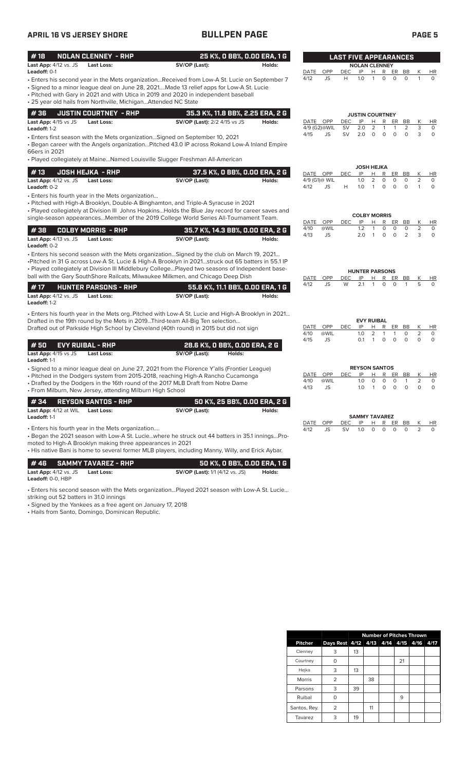## **APRIL 16 VS JERSEY SHORE BULLPEN PAGE PAGE 5**

| #18<br>Last App: 4/12 vs. JS                      | <b>NOLAN CLENNEY - RHP</b><br>Last Loss:                                                                                                                                                                                                                                                                                                                                           | 25 K%, O BB%, O.OO ERA, 1 G<br>SV/OP (Last):   | Holds: |                                   |             | <b>LAST FIVE APPEARANCES</b> |                  | <b>NOLAN CLENNEY</b>                  |                    |                          |                        |                     |
|---------------------------------------------------|------------------------------------------------------------------------------------------------------------------------------------------------------------------------------------------------------------------------------------------------------------------------------------------------------------------------------------------------------------------------------------|------------------------------------------------|--------|-----------------------------------|-------------|------------------------------|------------------|---------------------------------------|--------------------|--------------------------|------------------------|---------------------|
| <b>Leadoff: 0-1</b>                               |                                                                                                                                                                                                                                                                                                                                                                                    |                                                |        | DATE                              | OPP         | DEC                          | IP               | R<br>H.                               | ER                 | BB                       | Κ                      | <b>HR</b>           |
|                                                   | Enters his second year in the Mets organizationReceived from Low-A St. Lucie on September 7<br>Signed to a minor league deal on June 28, 2021Made 13 relief apps for Low-A St. Lucie<br>• Pitched with Gary in 2021 and with Utica in 2019 and 2020 in independent baseball<br>· 25 year old hails from Northville, MichiganAttended NC State                                      |                                                |        | 4/12                              | JS          | Н                            | 1.0              | 0<br>1                                | 0                  | $\circ$                  | $\mathbf{1}$           | 0                   |
| #36                                               | <b>JUSTIN COURTNEY - RHP</b>                                                                                                                                                                                                                                                                                                                                                       | 35.3 K%, 11.8 BB%, 2.25 ERA, 2 G               |        |                                   |             |                              |                  | <b>JUSTIN COURTNEY</b>                |                    |                          |                        |                     |
| Last App: 4/15 vs JS<br>Leadoff: 1-2              | Last Loss:                                                                                                                                                                                                                                                                                                                                                                         | <b>SV/OP (Last):</b> 2/2 4/15 vs JS            | Holds: | DATE OPP<br>4/9 (G2)@WIL          |             | <b>DEC</b><br><b>SV</b>      | IP<br>2.0        | R<br>н<br>2<br>1                      | ER<br>1            | BB<br>2                  | К<br>3                 | HR<br>0             |
| 66ers in 2021                                     | · Enters first season with the Mets organizationSigned on September 10, 2021<br>· Began career with the Angels organizationPitched 43.0 IP across Rokand Low-A Inland Empire<br>• Played collegiately at MaineNamed Louisville Slugger Freshman All-American                                                                                                                       |                                                |        | 4/15                              | JS          | SV                           | 2.0              | $\circ$<br>0                          | $\circ$            | $\circ$                  | 3                      | $\circ$             |
|                                                   |                                                                                                                                                                                                                                                                                                                                                                                    |                                                |        |                                   |             |                              |                  | <b>JOSH HEJKA</b>                     |                    |                          |                        |                     |
| #13<br>Last App: 4/12 vs. JS<br>Leadoff: 0-2      | <b>JOSH HEJKA - RHP</b><br><b>Last Loss:</b>                                                                                                                                                                                                                                                                                                                                       | 37.5 K%, O BB%, O.OO ERA, 2 G<br>SV/OP (Last): | Holds: | DATE OPP<br>4/9 (G1)@ WIL<br>4/12 | JS          | <b>DEC</b><br>Н              | IP<br>1.0<br>1.0 | н<br>R<br>2<br>0<br>0<br>1            | ER<br>0<br>$\circ$ | BB<br>$\circ$<br>$\circ$ | К<br>2<br>$\mathbf{1}$ | <b>HR</b><br>0<br>0 |
|                                                   | • Enters his fourth year in the Mets organization<br>• Pitched with High-A Brooklyn, Double-A Binghamton, and Triple-A Syracuse in 2021<br>• Played collegiately at Division III Johns HopkinsHolds the Blue Jay record for career saves and                                                                                                                                       |                                                |        |                                   |             |                              |                  |                                       |                    |                          |                        |                     |
|                                                   | single-season appearancesMember of the 2019 College World Series All-Tournament Team.                                                                                                                                                                                                                                                                                              |                                                |        | DATE                              | OPP         | <b>DEC</b>                   | IP               | <b>COLBY MORRIS</b><br>н<br>R         | ER                 | BB                       | K                      | HR                  |
| #38                                               | <b>COLBY MORRIS - RHP</b>                                                                                                                                                                                                                                                                                                                                                          | 35.7 K%, 14.3 BB%, 0.00 ERA, 2 G               |        | 4/10                              | @WIL        |                              | 1.2              | 1<br>0                                | 0                  | 0                        | 2                      | 0                   |
| Last App: 4/13 vs. JS<br>Leadoff: 0-2             | <b>Last Loss:</b>                                                                                                                                                                                                                                                                                                                                                                  | SV/OP (Last):                                  | Holds: | 4/13                              | <b>JS</b>   |                              | 2.0              | 0<br>1                                | $\circ$            | 2                        | 3                      | $\circ$             |
|                                                   | Enters his second season with the Mets organizationSigned by the club on March 19, 2021<br>Pitched in 31 G across Low-A St. Lucie & High-A Brooklyn in 2021struck out 65 batters in 55.1 IP<br>• Played collegiately at Division III Middlebury CollegePlayed two seasons of Independent base-<br>ball with the Gary SouthShore Railcats, Milwaukee Milkmen, and Chicago Deep Dish |                                                |        | DATE                              | OPP         | DEC                          | IP               | <b>HUNTER PARSONS</b><br>R<br>H       | ER                 | BB                       | Κ                      | HR                  |
| #17                                               | <b>HUNTER PARSONS - RHP</b>                                                                                                                                                                                                                                                                                                                                                        | 55.6 K%, 11.1 BB%, 0.00 ERA, 1 G               |        | 4/12                              | JS          | W                            | 2.1              | 0<br>1                                | 0                  | 1                        | 5                      | $\Omega$            |
| Last App: 4/12 vs. JS<br>Leadoff: 1-2             | <b>Last Loss:</b>                                                                                                                                                                                                                                                                                                                                                                  | SV/OP (Last):                                  | Holds: |                                   |             |                              |                  |                                       |                    |                          |                        |                     |
|                                                   | Enters his fourth year in the Mets orgPitched with Low-A St. Lucie and High-A Brooklyn in 2021                                                                                                                                                                                                                                                                                     |                                                |        |                                   |             |                              |                  |                                       |                    |                          |                        |                     |
|                                                   | Drafted in the 19th round by the Mets in 2019Third-team All-Big Ten selection<br>Drafted out of Parkside High School by Cleveland (40th round) in 2015 but did not sign                                                                                                                                                                                                            |                                                |        | DATE<br>4/10                      | OPP<br>@WIL | <b>DEC</b>                   | IP<br>1.0        | <b>EVY RUIBAL</b><br>Н<br>R<br>2<br>1 | ER<br>1            | BB<br>0                  | К<br>2                 | <b>HR</b><br>0      |
| #50                                               | <b>EVY RUIBAL - RHP</b>                                                                                                                                                                                                                                                                                                                                                            | 28.6 K%, O BB%, O.OO ERA, 2 G                  |        | 4/15                              | JS          |                              | 0.1              | $\circ$<br>1                          | $\circ$            | $\circ$                  | $\circ$                | $\circ$             |
| Last App: 4/15 vs JS<br>Leadoff: 1-1              | <b>Last Loss:</b>                                                                                                                                                                                                                                                                                                                                                                  | SV/OP (Last):<br>Holds:                        |        |                                   |             |                              |                  |                                       |                    |                          |                        |                     |
|                                                   | • Signed to a minor league deal on June 27, 2021 from the Florence Y'alls (Frontier League)                                                                                                                                                                                                                                                                                        |                                                |        |                                   |             |                              |                  | <b>REYSON SANTOS</b>                  |                    |                          |                        |                     |
|                                                   | • Pitched in the Dodgers system from 2015-2018, reaching High-A Rancho Cucamonga                                                                                                                                                                                                                                                                                                   |                                                |        | DATE<br>4/10                      | OPP<br>@WIL | <b>DEC</b>                   | IP<br>1.0        | R<br>н<br>$\circ$<br>$\circ$          | ER<br>$\circ$      | BB<br>$\mathbf{1}$       | Κ<br>$\overline{2}$    | HR<br>0             |
|                                                   | • Drafted by the Dodgers in the 16th round of the 2017 MLB Draft from Notre Dame<br>· From Milburn, New Jersey, attending Milburn High School                                                                                                                                                                                                                                      |                                                |        | 4/13                              | <b>JS</b>   |                              | 1.0              | $\mathbf{1}$<br>$\circ$               | $\circ$            | $\Omega$                 | 0                      | $\Omega$            |
| #34                                               | <b>REYSON SANTOS - RHP</b>                                                                                                                                                                                                                                                                                                                                                         | 50 K%, 25 BB%, 0.00 ERA, 2 G                   |        |                                   |             |                              |                  |                                       |                    |                          |                        |                     |
| Last App: 4/12 at WIL<br>Leadoff: 1-1             | <b>Last Loss:</b>                                                                                                                                                                                                                                                                                                                                                                  | SV/OP (Last):                                  | Holds: |                                   |             |                              |                  | <b>SAMMY TAVAREZ</b>                  |                    |                          |                        |                     |
|                                                   | • Enters his fourth year in the Mets organization<br>Began the 2021 season with Low-A St. Luciewhere he struck out 44 batters in 35.1 inningsPro-<br>moted to High-A Brooklyn making three appearances in 2021<br>• His native Bani is home to several former MLB players, including Manny, Willy, and Erick Aybar.                                                                |                                                |        | DATE<br>4/12                      | OPP<br>JS   | DEC<br>SV                    | IP<br>1.0        | H<br>R<br>0<br>0                      | ER<br>0            | BB<br>$\circ$            | <u>K</u><br>2          | HR<br>$\circ$       |
| #46                                               | <b>SAMMY TAVAREZ - RHP</b>                                                                                                                                                                                                                                                                                                                                                         | 50 K%, 0 BB%, 0.00 ERA, 1 G                    |        |                                   |             |                              |                  |                                       |                    |                          |                        |                     |
| Last App: 4/12 vs. JS<br><b>Leadoff:</b> 0-0, HBP | <b>Last Loss:</b>                                                                                                                                                                                                                                                                                                                                                                  | <b>SV/OP (Last):</b> 1/1 (4/12 vs. JS)         | Holds: |                                   |             |                              |                  |                                       |                    |                          |                        |                     |
| striking out 52 batters in 31.0 innings           | Enters his second season with the Mets organizationPlayed 2021 season with Low-A St. Lucie                                                                                                                                                                                                                                                                                         |                                                |        |                                   |             |                              |                  |                                       |                    |                          |                        |                     |

• Signed by the Yankees as a free agent on January 17, 2018 • Hails from Santo, Domingo, Dominican Republic.

|               | <b>Number of Pitches Thrown</b>    |    |    |  |    |  |      |  |  |  |
|---------------|------------------------------------|----|----|--|----|--|------|--|--|--|
| Pitcher       | Days Rest 4/12 4/13 4/14 4/15 4/16 |    |    |  |    |  | 4/17 |  |  |  |
| Clenney       | 3                                  | 13 |    |  |    |  |      |  |  |  |
| Courtney      | O                                  |    |    |  | 21 |  |      |  |  |  |
| Hejka         | 3                                  | 13 |    |  |    |  |      |  |  |  |
| <b>Morris</b> | 2                                  |    | 38 |  |    |  |      |  |  |  |
| Parsons       | 3                                  | 39 |    |  |    |  |      |  |  |  |
| Ruibal        | 0                                  |    |    |  | 9  |  |      |  |  |  |
| Santos, Rey.  | 2                                  |    | 11 |  |    |  |      |  |  |  |
| Tavarez       | 3                                  | 19 |    |  |    |  |      |  |  |  |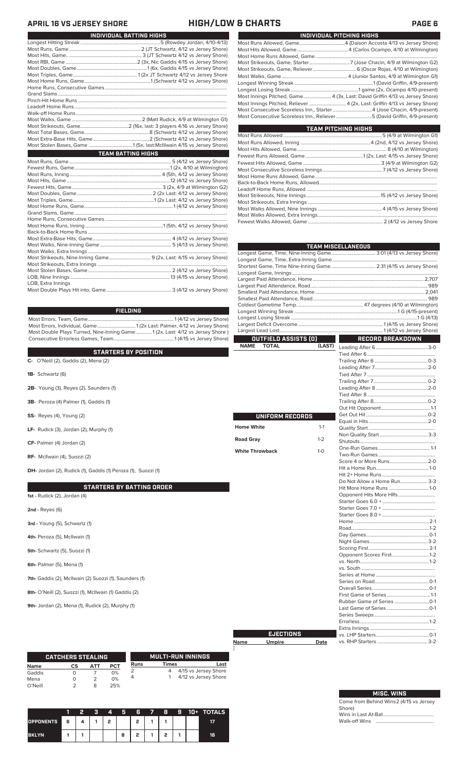### **APRIL 16 VS JERSEY SHORE HIGH/LOW & CHARTS PAGE 6**

| INDIVIDUAL BATTING HIGHS  |
|---------------------------|
|                           |
|                           |
|                           |
|                           |
|                           |
|                           |
|                           |
|                           |
|                           |
|                           |
|                           |
|                           |
|                           |
|                           |
|                           |
|                           |
|                           |
| <b>TEAM BATTING HIGHS</b> |
|                           |
|                           |
|                           |
|                           |
|                           |
|                           |
|                           |
|                           |
|                           |
|                           |
|                           |
|                           |
|                           |
|                           |
|                           |
|                           |
|                           |
|                           |
|                           |
|                           |

Most Double Plays Hit into, Game..................................................... 3 (4/12 vs Jersey Shore)

### **FIELDING**

Most Errors, Team, Game......................................................................1 (4/12 vs Jersey Shore) Most Errors, Individual, Game...............................1 (2x Last: Palmer, 4/12 vs Jersey Shore) Most Double Plays Turned, Nine-Inning Game............. 1 (2x, Last: 4/12 vs Jersey Shore ) Consecutive Errorless Games, Team.................................................1 (4/15 vs Jersey Shore)

**STARTERS BY POSITION**

| <b>OIARIERO DI FUOIIIUN</b>                                          |      |
|----------------------------------------------------------------------|------|
| C- O'Neill (2), Gaddis (2), Mena (2)                                 |      |
| 1B- Schwartz (6)                                                     |      |
| 2B- Young (3), Reyes (2), Saunders (1)                               |      |
| 3B- Peroza (4) Palmer (1), Gaddis (1)                                |      |
| <b>SS-</b> Reyes (4), Young (2)                                      |      |
| LF- Rudick (3), Jordan (2), Murphy (1)                               | Hom  |
| CF- Palmer (4) Jordan (2)                                            | Road |
| RF- McIlwain (4), Suozzi (2)                                         | Whit |
| <b>DH-</b> Jordan (2), Rudick (1), Gaddis (1) Peroza (1), Suozzi (1) |      |
| <b>STARTERS BY BATTING ORDER</b>                                     |      |
| <b>1st -</b> Rudick (2), Jordan (4)                                  |      |
| <b>2nd - Reyes (6)</b>                                               |      |
| 3rd - Young (5), Schwartz (1)                                        |      |
|                                                                      |      |

I

- **4th-** Peroza (5), McIlwain (1)
- **5th-** Schwartz (5), Suozzi (1)
- **6th-** Palmer (5), Mena (1)

**7th-** Gaddis (2), McIlwain (2) Suozzi (1), Saunders (1)

**8th-** O'Neill (2), Suozzi (1), McIlwain (1) Gaddis (2)

**9th-** Jordan (2), Mena (1), Rudick (2), Murphy (1)

|                 | <b>CATCHERS STEALING</b> |     |            |      |       | MULTI-RUN INNINGS    |
|-----------------|--------------------------|-----|------------|------|-------|----------------------|
| Name            | СS                       | АТТ | <b>PCT</b> | Runs | Times | Last                 |
| Gaddis          |                          |     | 0%         |      |       | 4/15 vs Jersey Shore |
| Mena<br>O'Neill |                          |     | 0%<br>25%  | 4    |       | 4/12 vs Jersey Shore |

|                  |   | 2 | З | 4 | H | 6 | 7 | 8 | 9 | 10+ | <b>TOTALS</b> |
|------------------|---|---|---|---|---|---|---|---|---|-----|---------------|
| <b>OPPONENTS</b> | 6 |   |   | - |   | , |   |   |   |     | 17            |
| <b>BKLYN</b>     |   |   |   |   | 8 | ∍ |   | o |   |     | 16.           |

| INDIVIDUAL PITCHING HIGHS                                                   |
|-----------------------------------------------------------------------------|
|                                                                             |
|                                                                             |
|                                                                             |
|                                                                             |
|                                                                             |
|                                                                             |
|                                                                             |
|                                                                             |
| Most Innings Pitched, Game 4 (3x, Last: David Griffin 4/13 vs Jersey Shore) |
| Most Innings Pitched, Reliever  4 (2x, Last: Griffin 4/13 vs Jersey Shore)  |
| Most Consecutive Scoreless Inn., Starter4 (Jose Chacin, 4/9-present)        |
| Most Consecutive Scoreless Inn., Reliever 5 (David Griffin, 4/9-present)    |

| TEAM PITCHING HIGHS |
|---------------------|
|                     |
|                     |
|                     |
|                     |
|                     |
|                     |
|                     |
|                     |
|                     |
|                     |
|                     |
|                     |
|                     |
|                     |
|                     |

|                             |         | <b>TEAM MISCELLANEOUS</b>   |  |
|-----------------------------|---------|-----------------------------|--|
|                             |         |                             |  |
|                             |         |                             |  |
|                             |         |                             |  |
|                             |         |                             |  |
|                             |         |                             |  |
|                             |         |                             |  |
|                             |         |                             |  |
|                             |         |                             |  |
|                             |         |                             |  |
|                             |         |                             |  |
|                             |         |                             |  |
|                             |         |                             |  |
| <b>OUTFIELD ASSISTS (O)</b> |         | <b>RECORD BREAKDOWN</b>     |  |
| <b>NAME</b><br><b>TOTAL</b> | (LAST)  |                             |  |
|                             |         |                             |  |
|                             |         |                             |  |
|                             |         |                             |  |
|                             |         |                             |  |
|                             |         |                             |  |
|                             |         |                             |  |
|                             |         |                             |  |
|                             |         |                             |  |
|                             |         |                             |  |
| <b>UNIFORM RECORDS</b>      |         |                             |  |
|                             |         |                             |  |
| <b>Home White</b>           | $1 - 1$ |                             |  |
|                             |         |                             |  |
| <b>Road Gray</b>            | $1 - 2$ |                             |  |
| <b>White Throwback</b>      | $1 - 0$ |                             |  |
|                             |         |                             |  |
|                             |         |                             |  |
|                             |         |                             |  |
|                             |         |                             |  |
|                             |         | Do Not Allow a Home Run 3-3 |  |
|                             |         | Hit More Home Runs 1-0      |  |
|                             |         | Opponent Hits More HRs      |  |
|                             |         |                             |  |
|                             |         |                             |  |
|                             |         |                             |  |
|                             |         |                             |  |
|                             |         |                             |  |
|                             |         |                             |  |
|                             |         |                             |  |
|                             |         | Opponent Scores First1-2    |  |
|                             |         |                             |  |
|                             |         |                             |  |
|                             |         |                             |  |
|                             |         |                             |  |
|                             |         |                             |  |
|                             |         |                             |  |
|                             |         |                             |  |
|                             |         |                             |  |
|                             |         |                             |  |
|                             |         |                             |  |
| <b>EJECTIONS</b>            |         |                             |  |
|                             |         |                             |  |

| <b>MISC. WINS</b>                      |
|----------------------------------------|
| Come from Behind Wins2 (4/15 vs Jersey |
| Shore)                                 |
|                                        |
| Walk-off Wins                          |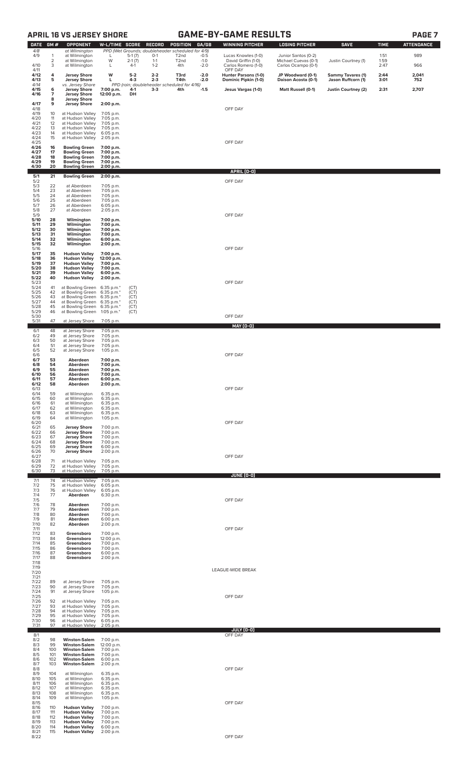## **APRIL 16 VS JERSEY SHORE GAME-BY-GAME RESULTS PAGE 7**

|--|--|--|

| <b>DATE</b>          | GM#            | OPPONENT                                     | W-L/TIME SCORE                      |                | RECORD             | POSITION                                                               | GA/GB            | <b>WINNING PITCHER</b>                       | <b>LOSING PITCHER</b>                    | <b>SAVE</b>                                    | <b>TIME</b>  | <b>ATTENDANCE</b> |
|----------------------|----------------|----------------------------------------------|-------------------------------------|----------------|--------------------|------------------------------------------------------------------------|------------------|----------------------------------------------|------------------------------------------|------------------------------------------------|--------------|-------------------|
| 4/8<br>4/9           | $\mathbf{1}$   | at Wilmington<br>at Wilmington               | L                                   | $5-1(7)$       | $0-1$              | PPD (Wet Grounds; doubleheader scheduled for 4/9)<br>T <sub>2</sub> nd | $-0.5$           | Lucas Knowles (1-0)                          | Junior Santos (0-2)                      |                                                | 1:51         | 989               |
|                      | $\overline{c}$ | at Wilmington                                | W                                   | $2-1(7)$       | $1 - 1$            | T <sub>2</sub> nd                                                      | $-1.0$           | David Griffin (1-0)                          | Michael Cuevas (0-1)                     | Justin Courtney (1)                            | 1:59         |                   |
| 4/10<br>4/11         | 3              | at Wilmington                                | L                                   | $4-1$          | $1 - 2$            | 4th                                                                    | $-2.0$           | Carlos Romero (1-0)<br>OFF DAY               | Carlos Ocampo (0-1)                      |                                                | 2:47         | 966               |
| 4/12<br>4/13         | 4<br>5         | <b>Jersey Shore</b><br><b>Jersey Shore</b>   | W<br>L                              | $5-2$<br>$4-3$ | $2 - 2$<br>$2 - 3$ | T3rd<br>T4th                                                           | $-2.0$<br>$-2.0$ | Hunter Parsons (1-0)<br>Dominic Pipkin (1-0) | JP Woodward (0-1)<br>Daison Acosta (0-1) | <b>Sammy Tavares (1)</b><br>Jason Ruffcorn (1) | 2:44<br>3:01 | 2,041<br>752      |
| 4/14<br>4/15         | 6              | vs. Jersey Shore<br><b>Jersey Shore</b>      | 7:00 p.m.                           | 4-1            | $3-3$              | PPD (rain; doubleheader scheduled for 4/16)<br>4th                     | -1.5             | Jesus Vargas (1-0)                           | Matt Russell (0-1)                       | <b>Justin Courtney (2)</b>                     | 2:31         | 2,707             |
| 4/16                 | 7<br>8         | <b>Jersey Shore</b><br><b>Jersey Shore</b>   | 12:00 p.m.                          | DH             |                    |                                                                        |                  |                                              |                                          |                                                |              |                   |
| 4/17<br>4/18         | 9              | <b>Jersey Shore</b>                          | 2:00 p.m.                           |                |                    |                                                                        |                  | OFF DAY                                      |                                          |                                                |              |                   |
| 4/19<br>4/20         | 10<br>11       | at Hudson Valley<br>at Hudson Valley         | 7:05 p.m.<br>7:05 p.m.              |                |                    |                                                                        |                  |                                              |                                          |                                                |              |                   |
| 4/21<br>4/22         | 12<br>13       | at Hudson Valley<br>at Hudson Valley         | 7:05 p.m.<br>7:05 p.m.              |                |                    |                                                                        |                  |                                              |                                          |                                                |              |                   |
| 4/23<br>4/24         | 14<br>15       | at Hudson Valley<br>at Hudson Valley         | 6:05 p.m.<br>2:05 p.m.              |                |                    |                                                                        |                  |                                              |                                          |                                                |              |                   |
| 4/25<br>4/26         | 16             | <b>Bowling Green</b>                         | 7:00 p.m.                           |                |                    |                                                                        |                  | OFF DAY                                      |                                          |                                                |              |                   |
| 4/27<br>4/28         | 17<br>18       | <b>Bowling Green</b><br><b>Bowling Green</b> | 7:00 p.m.<br>7:00 p.m.              |                |                    |                                                                        |                  |                                              |                                          |                                                |              |                   |
| 4/29<br>4/30         | 19<br>20       | <b>Bowling Green</b><br><b>Bowling Green</b> | 7:00 p.m.<br>2:00 p.m.              |                |                    |                                                                        |                  |                                              |                                          |                                                |              |                   |
| 5/1                  | 21             | <b>Bowling Green</b>                         | 2:00 p.m.                           |                |                    |                                                                        |                  | APRIL (0-0)                                  |                                          |                                                |              |                   |
| 5/2<br>5/3           | 22             | at Aberdeen                                  | 7:05 p.m.                           |                |                    |                                                                        |                  | OFF DAY                                      |                                          |                                                |              |                   |
| 5/4<br>5/5           | 23             | at Aberdeen                                  | 7:05 p.m.                           |                |                    |                                                                        |                  |                                              |                                          |                                                |              |                   |
| 5/6                  | 24<br>25       | at Aberdeen<br>at Aberdeen                   | 7:05 p.m.<br>7:05 p.m.              |                |                    |                                                                        |                  |                                              |                                          |                                                |              |                   |
| 5/7<br>5/8           | 26<br>27       | at Aberdeen<br>at Aberdeen                   | 6:05 p.m.<br>2:05 p.m.              |                |                    |                                                                        |                  |                                              |                                          |                                                |              |                   |
| 5/9<br>5/10          | 28             | Wilmington                                   | 7:00 p.m.                           |                |                    |                                                                        |                  | OFF DAY                                      |                                          |                                                |              |                   |
| 5/11<br>5/12         | 29<br>30       | Wilmington<br>Wilmington                     | 7:00 p.m.<br>7:00 p.m.              |                |                    |                                                                        |                  |                                              |                                          |                                                |              |                   |
| 5/13<br>5/14         | 31<br>32       | Wilmington<br>Wilmington                     | 7:00 p.m.<br>6:00 p.m.              |                |                    |                                                                        |                  |                                              |                                          |                                                |              |                   |
| 5/15<br>5/16         | 32             | Wilmington                                   | 2:00 p.m.                           |                |                    |                                                                        |                  | OFF DAY                                      |                                          |                                                |              |                   |
| 5/17<br>5/18         | 35<br>36       | <b>Hudson Valley</b><br><b>Hudson Valley</b> | 7:00 p.m.<br>12:00 p.m.             |                |                    |                                                                        |                  |                                              |                                          |                                                |              |                   |
| 5/19<br>5/20         | 37<br>38       | <b>Hudson Valley</b><br><b>Hudson Valley</b> | 7:00 p.m.<br>7:00 p.m.              |                |                    |                                                                        |                  |                                              |                                          |                                                |              |                   |
| 5/21<br>5/22         | 39<br>40       | <b>Hudson Valley</b><br><b>Hudson Valley</b> | 6:00 p.m.<br>2:00 p.m.              |                |                    |                                                                        |                  |                                              |                                          |                                                |              |                   |
| 5/23<br>5/24         | 41             | at Bowling Green                             | $6:35$ p.m. $*$                     | (CT)           |                    |                                                                        |                  | OFF DAY                                      |                                          |                                                |              |                   |
| 5/25<br>5/26         | 42<br>43       | at Bowling Green<br>at Bowling Green         | $6:35$ p.m. $*$<br>$6:35$ p.m. $*$  | (CT)<br>(CT)   |                    |                                                                        |                  |                                              |                                          |                                                |              |                   |
| 5/27<br>5/28         | 44<br>45       | at Bowling Green<br>at Bowling Green         | $6:35$ p.m. $*$<br>$6:35$ p.m. $*$  | (CT)<br>(CT)   |                    |                                                                        |                  |                                              |                                          |                                                |              |                   |
| 5/29<br>5/30         | 46             | at Bowling Green                             | 1:05 p.m. $*$                       | (CT)           |                    |                                                                        |                  | OFF DAY                                      |                                          |                                                |              |                   |
| 5/31                 | 47             | at Jersey Shore                              | 7:05 p.m.                           |                |                    |                                                                        |                  | <b>MAY (0-0)</b>                             |                                          |                                                |              |                   |
| 6/1<br>6/2           | 48<br>49       | at Jersey Shore<br>at Jersey Shore           | 7:05 p.m.<br>7:05 p.m.              |                |                    |                                                                        |                  |                                              |                                          |                                                |              |                   |
| 6/3<br>6/4           | 50<br>51       | at Jersey Shore                              | 7:05 p.m.                           |                |                    |                                                                        |                  |                                              |                                          |                                                |              |                   |
| 6/5                  | 52             | at Jersey Shore<br>at Jersey Shore           | 7:05 p.m.<br>1:05 p.m.              |                |                    |                                                                        |                  |                                              |                                          |                                                |              |                   |
| 6/6<br>6/7           | 53             | Aberdeen                                     | 7:00 p.m.                           |                |                    |                                                                        |                  | OFF DAY                                      |                                          |                                                |              |                   |
| 6/8<br>6/9           | 54<br>55       | Aberdeen<br>Aberdeen                         | 7:00 p.m.<br>7:00 p.m.              |                |                    |                                                                        |                  |                                              |                                          |                                                |              |                   |
| 6/10<br>6/11         | 56<br>57       | Aberdeen<br>Aberdeen                         | 7:00 p.m.<br>6:00 p.m.              |                |                    |                                                                        |                  |                                              |                                          |                                                |              |                   |
| 6/12<br>6/13         | 58             | Aberdeen                                     | 2:00 p.m.                           |                |                    |                                                                        |                  | OFF DAY                                      |                                          |                                                |              |                   |
| 6/14<br>6/15         | 59<br>60       | at Wilmington<br>at Wilmington               | 6:35 p.m.<br>6:35 p.m.              |                |                    |                                                                        |                  |                                              |                                          |                                                |              |                   |
| 6/16<br>6/17         | 61<br>62       | at Wilmington<br>at Wilmington               | 6:35 p.m.<br>6:35 p.m.              |                |                    |                                                                        |                  |                                              |                                          |                                                |              |                   |
| 6/18<br>6/19         | 63<br>64       | at Wilmington<br>at Wilmington               | 6:35 p.m.<br>1:05 p.m.              |                |                    |                                                                        |                  |                                              |                                          |                                                |              |                   |
| 6/20<br>6/21         | 65             | <b>Jersey Shore</b>                          | 7:00 p.m.                           |                |                    |                                                                        |                  | OFF DAY                                      |                                          |                                                |              |                   |
| 6/22<br>6/23         | 66<br>67       | <b>Jersey Shore</b><br><b>Jersey Shore</b>   | 7:00 p.m.<br>7:00 p.m.              |                |                    |                                                                        |                  |                                              |                                          |                                                |              |                   |
| 6/24<br>6/25         | 68<br>69       | <b>Jersey Shore</b><br><b>Jersey Shore</b>   | 7:00 p.m.<br>6:00 p.m.              |                |                    |                                                                        |                  |                                              |                                          |                                                |              |                   |
| 6/26<br>6/27         | 70             | <b>Jersey Shore</b>                          | 2:00 p.m.                           |                |                    |                                                                        |                  | OFF DAY                                      |                                          |                                                |              |                   |
| 6/28<br>6/29         | 71<br>72       | at Hudson Valley<br>at Hudson Valley         | 7:05 p.m.<br>7:05 p.m.              |                |                    |                                                                        |                  |                                              |                                          |                                                |              |                   |
| 6/30                 | 73             | at Hudson Valley                             | 7:05 p.m.                           |                |                    |                                                                        |                  | <u>JUNE (0-0)</u>                            |                                          |                                                |              |                   |
| 7/1<br>7/2           | 74<br>75       | at Hudson Valley<br>at Hudson Valley         | 7:05 p.m.<br>6:05 p.m.              |                |                    |                                                                        |                  |                                              |                                          |                                                |              |                   |
| 7/3<br>7/4           | 76<br>77       | at Hudson Valley<br>Aberdeen                 | 6:05 p.m.                           |                |                    |                                                                        |                  |                                              |                                          |                                                |              |                   |
| 7/5<br>7/6           | 78             | Aberdeen                                     | 6:30 p.m.<br>7:00 p.m.              |                |                    |                                                                        |                  | OFF DAY                                      |                                          |                                                |              |                   |
| 7/7<br>7/8           | 79<br>80       | Aberdeen<br>Aberdeen                         | 7:00 p.m.<br>7:00 p.m.              |                |                    |                                                                        |                  |                                              |                                          |                                                |              |                   |
| 7/9<br>7/10          | 81<br>82       | Aberdeen<br>Aberdeen                         | 6:00 p.m.<br>2:00 p.m.              |                |                    |                                                                        |                  |                                              |                                          |                                                |              |                   |
| 7/11<br>7/12         | 83             |                                              | 7:00 p.m.                           |                |                    |                                                                        |                  | OFF DAY                                      |                                          |                                                |              |                   |
| 7/13<br>7/14         | 84<br>85       | Greensboro<br>Greensboro<br>Greensboro       | 12:00 p.m.                          |                |                    |                                                                        |                  |                                              |                                          |                                                |              |                   |
| 7/15<br>7/16         | 86<br>87       | Greensboro<br>Greensboro                     | 7:00 p.m.<br>7:00 p.m.<br>6:00 p.m. |                |                    |                                                                        |                  |                                              |                                          |                                                |              |                   |
| 7/17                 | 88             | Greensboro                                   | 2:00 p.m.                           |                |                    |                                                                        |                  |                                              |                                          |                                                |              |                   |
| 7/18<br>7/19<br>7/20 |                |                                              |                                     |                |                    |                                                                        |                  | LEAGUE-WIDE BREAK                            |                                          |                                                |              |                   |
| 7/21                 |                |                                              |                                     |                |                    |                                                                        |                  |                                              |                                          |                                                |              |                   |
| 7/22<br>7/23         | 89<br>90       | at Jersey Shore<br>at Jersey Shore           | 7:05 p.m.<br>7:05 p.m.              |                |                    |                                                                        |                  |                                              |                                          |                                                |              |                   |
| 7/24<br>7/25         | 91             | at Jersey Shore                              | 1:05 p.m.                           |                |                    |                                                                        |                  | OFF DAY                                      |                                          |                                                |              |                   |
| 7/26<br>7/27         | 92<br>93       | at Hudson Valley<br>at Hudson Valley         | 7:05 p.m.<br>7:05 p.m.              |                |                    |                                                                        |                  |                                              |                                          |                                                |              |                   |
| 7/28<br>7/29         | 94<br>95       | at Hudson Valley<br>at Hudson Valley         | 7:05 p.m.<br>7:05 p.m.              |                |                    |                                                                        |                  |                                              |                                          |                                                |              |                   |
| 7/30<br>7/31         | 96<br>97       | at Hudson Valley<br>at Hudson Valley         | 6:05 p.m.<br>2:05 p.m.              |                |                    |                                                                        |                  |                                              |                                          |                                                |              |                   |
| 8/1                  |                |                                              |                                     |                |                    |                                                                        |                  | JULY (0-0)<br>OFF DAY                        |                                          |                                                |              |                   |
| 8/2<br>8/3           | 98<br>99       | <b>Winston-Salem</b><br><b>Winston-Salem</b> | 7:00 p.m.<br>12:00 p.m.             |                |                    |                                                                        |                  |                                              |                                          |                                                |              |                   |
| 8/4<br>8/5           | 100<br>101     | <b>Winston-Salem</b><br><b>Winston-Salem</b> | 7:00 p.m.<br>7:00 p.m.              |                |                    |                                                                        |                  |                                              |                                          |                                                |              |                   |
| 8/6<br>8/7           | 102<br>103     | <b>Winston-Salem</b><br><b>Winston-Salem</b> | 6:00 p.m.<br>2:00 p.m.              |                |                    |                                                                        |                  |                                              |                                          |                                                |              |                   |
| 8/8<br>8/9           | 104            | at Wilmington                                | 6:35 p.m.                           |                |                    |                                                                        |                  | OFF DAY                                      |                                          |                                                |              |                   |
| 8/10<br>8/11         | 105<br>106     | at Wilmington<br>at Wilmington               | 6:35 p.m.<br>6:35 p.m.              |                |                    |                                                                        |                  |                                              |                                          |                                                |              |                   |
| 8/12<br>8/13         | 107<br>108     | at Wilmington<br>at Wilmington               | 6:35 p.m.<br>6:35 p.m.              |                |                    |                                                                        |                  |                                              |                                          |                                                |              |                   |
| 8/14<br>8/15         | 109            | at Wilmington                                | 1:05 p.m.                           |                |                    |                                                                        |                  | OFF DAY                                      |                                          |                                                |              |                   |
| 8/16<br>8/17         | 110<br>111     | <b>Hudson Valley</b><br><b>Hudson Valley</b> | 7:00 p.m.<br>7:00 p.m.              |                |                    |                                                                        |                  |                                              |                                          |                                                |              |                   |
| 8/18<br>8/19         | 112<br>113     | <b>Hudson Valley</b><br><b>Hudson Valley</b> | 7:00 p.m.<br>7:00 p.m.              |                |                    |                                                                        |                  |                                              |                                          |                                                |              |                   |
| 8/20                 | 114            | <b>Hudson Valley</b>                         | 6:00 p.m.                           |                |                    |                                                                        |                  |                                              |                                          |                                                |              |                   |
| 8/21<br>8/22         | 115            | <b>Hudson Valley</b>                         | 2:00 p.m.                           |                |                    |                                                                        |                  | OFF DAY                                      |                                          |                                                |              |                   |